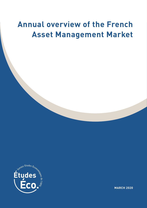# **Annual overview of the French Asset Management Market**



 **MARCH 2020**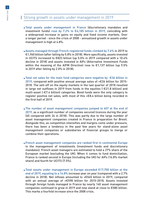# Strong growth in assets under management in 2019

- Total assets under management in France (discretionary mandates and investment funds) rose by 7.2% to €4,185 billion in 2019, coinciding with a widespread increase in gains on equity and fixed income markets. Over a longer period - since the crisis of 2008 - annualized growth in assets under management is high at 4.8%.
- Assets managed through French-registered funds climbed by 7.6% in 2019 to €1,960 billion (after falling by 5.8% in 2018). More specifically, assets invested in UCITS increased to €823 billion (up 5.0% in 2019 compared with a 10.4% decline in 2018) and assets invested in AIFs (Alternative Investment Funds within the meaning of the AIFM Directive) rose to €1,137 billion (up 9.5% in 2019 after falling by 2.0% in 2018).
- Total net sales for the main fund categories were negative by -€36 billion in 2019, compared with positive annual average sales of +€26 billion for 2015- 2018. The sell-off on the equity markets in the last quarter of 2018 resulted in large net outflows in 2019 from funds in the equities (-€21.8 billion) and multi-asset (-€7.4 billion) categories. Bond funds were the only category to register positive net sales, with most of this +€8.4 billion being recorded in the first half of 2019.
- The number of asset management companies jumped to 657 at the end of 2019, as a significant number of companies secured licences during the year (45 compared with 24 in 2018). This was partly due to the large number of asset management companies created in France in preparation for Brexit. Alongside this, as competition intensifies and margins come under pressure, there has been a tendency in the past few years for stand-alone asset management companies or subsidiaries of financial groups to merge or combine their operations.
- French asset management companies are ranked first in continental Europe in the management of investments (investment funds and discretionary mandates). French asset managers are estimated to hold a 27% share of the European market (excluding the UK). When it comes to fund domiciliation, France is ranked second in Europe (including the UK) for AIFs (16.8% market share) and fourth for UCITS (7.5%).
- Total assets under management in Europe exceeded €17,700 billion at the end of 2019, equating to a 16.8% increase year on year (compared with a 2.7% decline in 2018). Net inflows amounted to +€545 billion in 2019, compared with an annual average of +€598 billion for 2015-2018. Assets invested through foreign funds managed in France by nearly 140 asset management companies continued to grow in 2019 and now stand at close to €580 billion. This marks a fourfold increase since the 2008 crisis.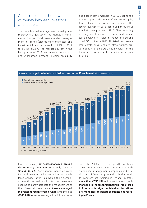# A central role in the flow of money between investors and issuers

The French asset management industry now represents a quarter of the market in continental Europe. Total assets under management in France (discretionary mandates and investment funds) increased by 7.2% in 2019 to €4,185 billion. The market sell-off in the last quarter of 2018 was followed by a sharp and widespread increase in gains on equity and fixed income markets in 2019. Despite the market upturn, the net outflows from equity funds observed in France and Europe in the fourth quarter of 2018 continued throughout the first three quarters of 2019. After recording net negative flows in 2018, bond funds registered positive net sales in France and Europe of +€277 billion in 2019. Unlisted real assets (real estate, private equity, infrastructure, private debt, etc.) also attracted investors on the look-out for return and diversification opportunities.

#### **Assets managed on behalf of third parties on the French market** (billions of euros) French-registered funds **Mandates includes foreign funds** 4,185 +7.2%  $3,943$ <br>+4.6% +4.6% 3,904 -1.0% 1,960 3,770 +4.9% 3,593 1,934 +5.0% 1,822 3,421 +9.6% 1,799 1,689 1,904 1,689 3,025 3,120 +3.2% 599 1,822 1,599  $2,917$ <br>+4.2% +9.3% +4.2% 2,768 2,800 +11.6% 2,779 +4.6% 2,658 543 1,577 1,543  $-5.1%$ 1,509 1,514 1,516 1,509  $+12.9$ 2 509 1,403 1,514 1,523 1,594 -9.7% 1,277 1,523 1,185 1,594 387 2,354 +12.8% 1,381 1,387 1,544 1,114 1,544 2,087 1,384 1,125 1,384  $+16.1%$  $\begin{array}{r} \n 1,686 \n +6.6\% \n +6.6\% \n +8.7\% \n +3.7\% \n \end{array}$ <br>  $\begin{array}{r} \n 1,473 \n +6.5\% \n \end{array}$ <br>  $\begin{array}{r} \n 3,2\% \n \end{array}$ <br>  $\begin{array}{r} \n 3,2\% \n \end{array}$ <br>  $\begin{array}{r} \n 3,2\% \n \end{array}$ <br>  $\begin{array}{r} \n 3,2\% \n \end{array}$ <br>  $\begin{array}{r} \n 3,2\% \n \end{array}$ <br> 2,225 1,798 +6.6% 2,082 1,686 +14.5% 2,009 1,971 ,904 1,473 +3.7%  $|822|$ 1.577 1,516 1,403 1.381 1,277 1,185 1,114 1,125 2001 2002 2003 2004 2005 2006 2007 2008 2009 2010 2011 2012 2013 2014 2015 2016 2017 2018 2019

More specifically, **net assets managed through discretionary mandates** reportedly **rose to €1,650 billion**. Discretionary mandates cater for retail investors who are looking for a tailored service, often to develop their personal wealth, as well as institutional investors seeking to partly delegate the management of their financial investments. **Assets managed in France through foreign funds** amounted to **€580 billion**, representing a fourfold increase

since the 2008 crisis. This growth has been driven by the ever-greater number of standalone asset management companies and subsidiaries of financial groups distributing funds to investors not residing in France. In total, **more than €550 billion** in assets is reportedly **managed in France through funds (registered in France or foreign countries) or discretionary mandates on behalf of clients not residing in France.**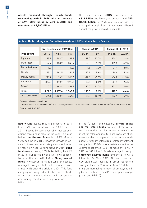4

**Assets managed through French funds resumed growth in 2019 with an increase of 7.6% (after falling by 5.8% in 2018) and now stand at €1,960 billion.** 

Of these funds, **UCITS** accounted for **€823 billion** (up 5.0% year on year) and **AIFs €1,138 billion** (up 9.5% year on year). Assets managed through French funds have delivered annualized growth of 4.4% since 2011.

|                     | Net assets at end-2019 (€bn) |             |              |  | Change in 2019   |         |  | <b>Change 2011-2019</b> |          |  |
|---------------------|------------------------------|-------------|--------------|--|------------------|---------|--|-------------------------|----------|--|
| <b>Type of fund</b> | <b>UCITS</b>                 | <b>AIFs</b> | <b>Total</b> |  | in $\epsilon$ bn | in $%$  |  | in $\epsilon$ bn        | CAGR*    |  |
| Equities            | 223.1                        | 106.7       | 329.8        |  | 38.5             | 13.2%   |  | 104.2                   | 4.9%     |  |
| Multi-asset         | 157.7                        | 188.2       | 345.9        |  | 29.3             | 9.3%    |  | 109.5                   | 4.9%     |  |
| Formula-based       | 1.9                          | 17.4        | 19.3         |  | $-1.6$           | $-7.7%$ |  | $-34.4$                 | $-12.0%$ |  |
| <b>Bonds</b>        | 143.4                        | 141.5       | 284.9        |  | 15.1             | 5.6%    |  | 96.4                    | 5.3%     |  |
| Money market        | 296.7                        | 16.9        | 313.6        |  | $-12.8$          | $-3.9%$ |  | $-34.0$                 | $-1.3%$  |  |
| Sub-total           | 822.8                        | 470.7       | 1293.5       |  | 68.5             | 5.6%    |  | 241.7                   | 2.6%     |  |
| Other*              | 0.0                          | 666.9       | 666.9        |  | 70.0             | 11.7%   |  | 331.2                   | 9.0%     |  |
| <b>Total</b>        | 822.8                        | 1,137.6     | 1,960.4      |  | 138.5            | 7.6%    |  | 572.9                   | 4.4%     |  |
| Total excl. MMI     | 526.1                        | 1,120.7     | 1,646.8      |  | 151.3            | 10.1%   |  | 606.9                   | 5.9%     |  |

### **AuM of Undertakings for Collective Investment (UCIs) domiciled in France**

\* Compound annual growth rate

\*\* AFG estimates at end-2019 for the "Other" category: Gvt bonds, alternative funds of funds, FCPEs, FCPRs/FPCIs, OPCIs and SCPIs. Source : AMF, BDF, IEIF

**Equity fund** assets rose significantly in 2019 (up 13.2% compared with an 18.0% fall in 2018), buoyed by very favourable market conditions throughout most of the year. This also helped **multi-asset funds** (up 9.3% after a 9.2% decline in 2018). However, growth in assets in these two fund categories was limited by very high negative fund flows in 2019. **Bond fund** assets rose by 5.6% (after falling by 4.1% in 2018), supported by positive flows concentrated in the first half of 2019. **Money market funds** now account for a quarter of the assets managed through retail funds, compared with almost 44% after the crisis of 2008. This fund category was weighed on by the level of shortterm rates and ended the year with assets under management decreasing by almost €13 billion.

In the "Other" fund category, **private equity and real estate funds** are very attractive investment options in a low interest rate environment for retail and institutional investors alike. Assets under management in real estate funds open to retail investors (real estate investment companies (SCPI) and real estate collective investment schemes (OPCI) climbed by 18.7% in 2019 to €84 billion<sup>1</sup>. Assets managed through **employee savings plans** amounted to €144 billion (up 14.9% in 2019). Of this, more than €20 billion was invested in group retirement savings plans (PERCO, up 21% in 2019), benefiting an increasing number of employees eligible for such schemes (PEE (company savings plans) and PERCO).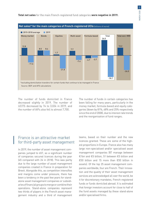**Total net sales** for the main French-registered fund categories **were negative in 2019.**



The number of funds domiciled in France decreased slightly in 2019. The number of UCITS decreased by 74 to 3,024 in 2019, and the number of AIFs also fell to almost 7,700.

The number of funds in certain categories has been falling for many years, particularly in the money market, formula-based and equity categories (down by 81%, 68% and 25% respectively since the end of 2008), due to interest rate trends and the reorganisation of fund ranges.

# France is an attractive market for third-party asset management

In 2019, the number of asset management companies jumped to 657, as a significant number of companies secured licences during the year (45 compared with 24 in 2018). This was partly due to the large number of asset management companies created in France in preparation for Brexit. Alongside this, as competition intensifies and margins come under pressure, there has been a tendency in the past few years for standalone asset management companies or subsidiaries of financial groups to merge or combine their operations. Stand-alone companies represent two thirds of players in the French asset management industry and a third of management teams, based on their number and the new licences granted. These are some of the highest proportions in Europe. France also has many large non-specialised and/or specialised asset management companies (87 manage between €1bn and €5 billion, 51 between €5 billion and €50 billion and 15 more than €50 billion in assets). Of the top 25 asset management companies worldwide, four are French. Their innovation and the quality of their asset management services are acknowledged all over the world, be it for discretionary mandates, French-registered funds or funds domiciled abroad. It is estimated that foreign investors account for close to half of the fund assets managed by these stand-alone and/or specialised firms.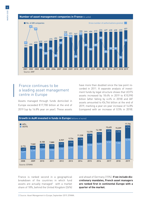#### **Number of asset management companies in France** (in units)



# France continues to be a leading asset management centre in Europe transferts de certains de certains qui restent géré de certains qui reste de certains qui reste

Assets managed through funds domiciled in Europe exceeded €17,700 billion at the end of 2019 (up by 16.8% year on year). These assets have more than doubled since the low point recorded in 2011. A separate analysis of investment funds by legal structure shows that UCITS assets increased by 18.4% in 2019 to €10,990 billion (after falling by 4.6% in 2018) and AIF assets amounted to €6,744 billion at the end of 2019, marking a year-on-year increase of 14.8% (compared with an increase of 0.5% in 2018).



France is ranked second in a geographical breakdown of the countries in which fund assets are actually managed<sup>2</sup> with a market share of 18%, behind the United Kingdom (26%)

and ahead of Germany (15%). **If we include discretionary mandates, French asset managers are ranked first in continental Europe with a quarter of the market.**

2) Source: Asset Management in Europe, September 2019, EFAMA.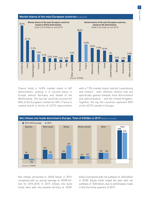

France holds a 16.8% market share in AIF domiciliation, putting it in second place in Europe behind Germany and ahead of the Netherlands. The top five countries account for 82% of the European market for AIFs. France is ranked fourth in terms of UCITS domiciliation

with a 7.5% market share, behind Luxembourg and Ireland – both offshore centres that are specifically geared towards fund domiciliation and administration – and the United Kingdom. Together, the top five countries represent 80% of the UCITS market in Europe.



Net inflows amounted to +€545 billion in 2019, compared with an annual average of +€598 billion for 2015-2018. In 2019, inflows into bond funds were well into positive territory at +€281

billion (compared with net outflows of -€40 billion in 2018). Equity funds ended the year with net outflows of -€30 billion, due to withdrawals made